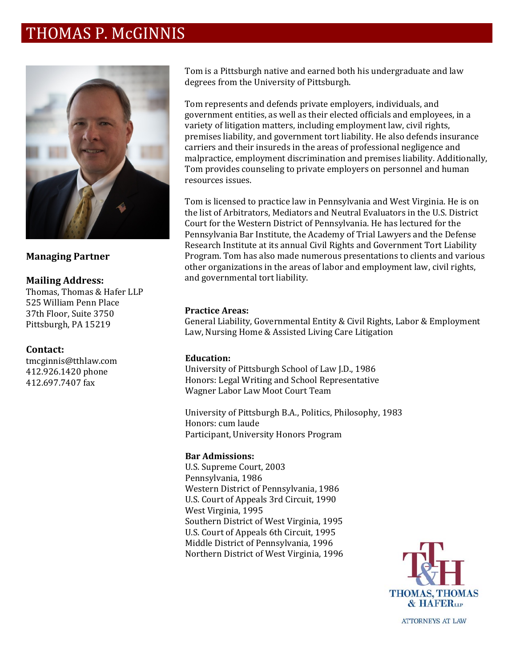# THOMAS P. McGINNIS



### **Managing Partner**

#### **Mailing Address:**

Thomas, Thomas & Hafer LLP 525 William Penn Place 37th Floor, Suite 3750 Pittsburgh, PA 15219

#### **Contact:**

tmcginnis@tthlaw.com 412.926.1420 phone 412.697.7407 fax

Tom is a Pittsburgh native and earned both his undergraduate and law degrees from the University of Pittsburgh.

Tom represents and defends private employers, individuals, and government entities, as well as their elected officials and employees, in a variety of litigation matters, including employment law, civil rights, premises liability, and government tort liability. He also defends insurance carriers and their insureds in the areas of professional negligence and malpractice, employment discrimination and premises liability. Additionally, Tom provides counseling to private employers on personnel and human resources issues.

Tom is licensed to practice law in Pennsylvania and West Virginia. He is on the list of Arbitrators, Mediators and Neutral Evaluators in the U.S. District Court for the Western District of Pennsylvania. He has lectured for the Pennsylvania Bar Institute, the Academy of Trial Lawyers and the Defense Research Institute at its annual Civil Rights and Government Tort Liability Program. Tom has also made numerous presentations to clients and various other organizations in the areas of labor and employment law, civil rights, and governmental tort liability.

#### **Practice Areas:**

General Liability, Governmental Entity & Civil Rights, Labor & Employment Law, Nursing Home & Assisted Living Care Litigation

#### **Education:**

University of Pittsburgh School of Law J.D., 1986 Honors: Legal Writing and School Representative Wagner Labor Law Moot Court Team

University of Pittsburgh B.A., Politics, Philosophy, 1983 Honors: cum laude Participant, University Honors Program

#### **Bar Admissions:**

U.S. Supreme Court, 2003 Pennsylvania, 1986 Western District of Pennsylvania, 1986 U.S. Court of Appeals 3rd Circuit, 1990 West Virginia, 1995 Southern District of West Virginia, 1995 U.S. Court of Appeals 6th Circuit, 1995 Middle District of Pennsylvania, 1996 Northern District of West Virginia, 1996



**ATTORNEYS AT LAW**